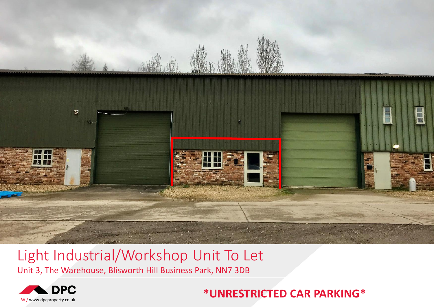

# Light Industrial/Workshop Unit To Let

Unit 3, The Warehouse, Blisworth Hill Business Park, NN7 3DB



# **\*UNRESTRICTED CAR PARKING\***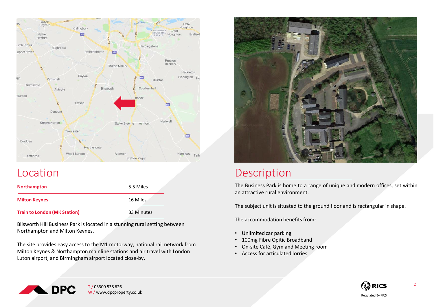

| <b>Northampton</b>                  | 5.5 Miles  |
|-------------------------------------|------------|
| <b>Milton Keynes</b>                | 16 Miles   |
| <b>Train to London (MK Station)</b> | 33 Minutes |

Blisworth Hill Business Park is located in a stunning rural setting between Northampton and Milton Keynes.

The site provides easy access to the M1 motorway, national rail network from Milton Keynes & Northampton mainline stations and air travel with London Luton airport, and Birmingham airport located close-by.



# Location Description

The Business Park is home to a range of unique and modern offices, set within an attractive rural environment.

The subject unit is situated to the ground floor and is rectangular in shape.

The accommodation benefits from:

- Unlimited car parking
- 100mg Fibre Opitic Broadband
- On-site Café, Gym and Meeting room
- Access for articulated lorries